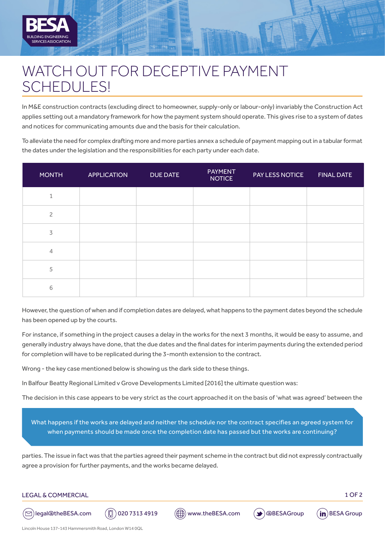

## WATCH OUT FOR DECEPTIVE PAYMENT SCHEDULES!

In M&E construction contracts (excluding direct to homeowner, supply-only or labour-only) invariably the Construction Act applies setting out a mandatory framework for how the payment system should operate. This gives rise to a system of dates and notices for communicating amounts due and the basis for their calculation.

To alleviate the need for complex drafting more and more parties annex a schedule of payment mapping out in a tabular format the dates under the legislation and the responsibilities for each party under each date.

| <b>MONTH</b>   | <b>APPLICATION</b> | <b>DUE DATE</b> | <b>PAYMENT</b><br><b>NOTICE</b> | PAY LESS NOTICE | <b>FINAL DATE</b> |
|----------------|--------------------|-----------------|---------------------------------|-----------------|-------------------|
| $\mathbf{1}$   |                    |                 |                                 |                 |                   |
| $\overline{c}$ |                    |                 |                                 |                 |                   |
| 3              |                    |                 |                                 |                 |                   |
| $\overline{4}$ |                    |                 |                                 |                 |                   |
| 5              |                    |                 |                                 |                 |                   |
| 6              |                    |                 |                                 |                 |                   |

However, the question of when and if completion dates are delayed, what happens to the payment dates beyond the schedule has been opened up by the courts.

For instance, if something in the project causes a delay in the works for the next 3 months, it would be easy to assume, and generally industry always have done, that the due dates and the final dates for interim payments during the extended period for completion will have to be replicated during the 3-month extension to the contract.

Wrong - the key case mentioned below is showing us the dark side to these things.

In Balfour Beatty Regional Limited v Grove Developments Limited [2016] the ultimate question was:

The decision in this case appears to be very strict as the court approached it on the basis of 'what was agreed' between the

What happens if the works are delayed and neither the schedule nor the contract specifies an agreed system for when payments should be made once the completion date has passed but the works are continuing?

parties. The issue in fact was that the parties agreed their payment scheme in the contract but did not expressly contractually agree a provision for further payments, and the works became delayed.